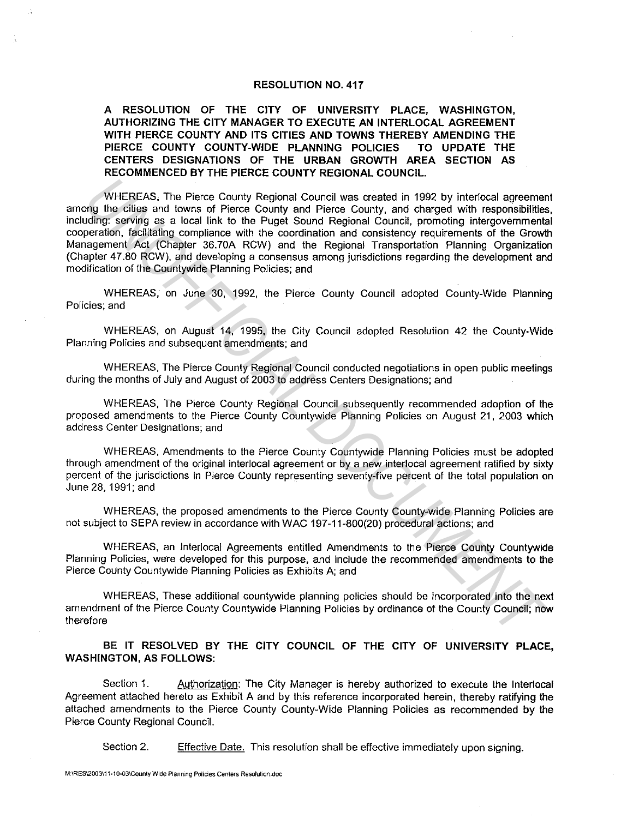## **RESOLUTION NO. 417**

## **A RESOLUTION OF THE CITY OF UNIVERSITY PLACE, WASHINGTON, AUTHORIZING THE CITY MANAGER TO EXECUTE AN INTERLOCAL AGREEMENT WITH PIERCE COUNTY AND ITS CITIES AND TOWNS THEREBY AMENDING THE PIERCE COUNTY COUNTY-WIDE PLANNING POLICIES TO UPDATE THE CENTERS DESIGNATIONS OF THE URBAN GROWTH AREA SECTION AS RECOMMENCED BY THE PIERCE COUNTY REGIONAL COUNCIL.**

WHEREAS. The Pierce County Regional Council was created in 1992 by interlocal agreement among the cities and towns of Pierce County and Pierce County, and charged with responsibilities, including: serving as a local link to the Puget Sound Regional Council, promoting intergovernmental cooperation, facilitating compliance with the coordination and consistency requirements of the Growth Management Act (Chapter 36.70A RCW) and the Regional Transportation Planning Organization (Chapter 47.80 RCW), and developing a consensus among jurisdictions regarding the development and modification of the Countywide Planning Policies; and WHEREAS. The Pierce County Regional Council was created in 1992 by interlocal agreement<br>uding: serving as a local link to the Pugel Sound Regional Council, and charged with responsibilities<br>uding: serving as a local link t

WHEREAS, on June 30, 1992, the Pierce County Council adopted County-Wide Planning Policies; and

WHEREAS. on August 14. 1995. the City Council adopted Resolution 42 the County-Wide Planning Policies and subsequent amendments; and

WHEREAS. The Pierce County Regional Council conducted negotiations in open public meetings during the months of July and August of 2003 to address Centers Designations; and

WHEREAS, The Pierce County Regional Council subsequently recommended adoption of the proposed amendments to the Pierce County Countywide Planning Policies on August 21, 2003 which address Center Designations; and

WHEREAS. Amendments to the Pierce County Countywide Planning Policies must be adopted through amendment of the original interlocal agreement or by a new interlocal agreement ratified by sixty percent of the jurisdictions in Pierce County representing seventy-five percent of the total population on June 28, 1991; and

WHEREAS, the proposed amendments to the Pierce County County-wide Planning Policies are not subject to SEPA review in accordance with WAC 197-11-800(20) procedural actions; and

WHEREAS, an lnterlocal Agreements entitled Amendments to the Pierce County Countywide Planning Policies, were developed for this purpose, and include the recommended amendments to the Pierce County Countywide Planning Policies as Exhibits A; and

WHEREAS, These additional countywide planning policies should be incorporated into the next amendment of the Pierce County Countywide Planning Policies by ordinance of the County Council; now therefore

**BE IT RESOLVED BY THE CITY COUNCIL OF THE CITY OF UNIVERSITY PLACE, WASHINGTON, AS FOLLOWS:** 

Section 1. Authorization: The City Manager is hereby authorized to execute the Interlocal Agreement attached hereto as Exhibit A and by this reference incorporated herein, thereby ratifying the attached amendments to the Pierce County County-Wide Planning Policies as recommended by the Pierce County Regional Council.

Section 2. Effective Date. This resolution shall be effective immediately upon signing.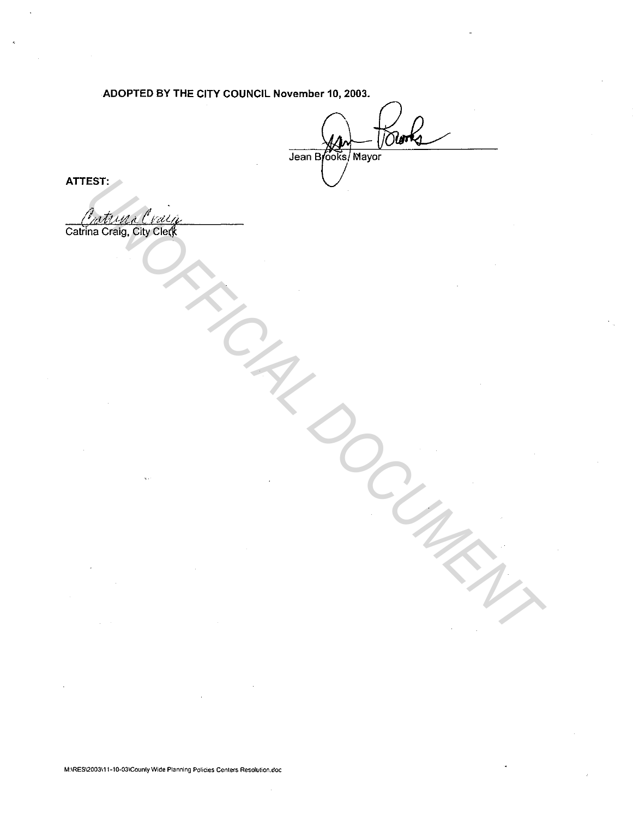ADOPTED BY THE CITY COUNCIL November 10, 2003.

Towns Jean Brooks Mayor

ATTEST:

Catrina Craig, City Clerk **MARIAR RAYAR RAYAR DOCUMENTAL DU SUR SUR DESCRIPTIONS DE LA PROPERTE DE LA PROPERTE DE LA PARTIEMENTAL DE LA PARTIEMENT DE LA PARTIEMENT DE LA PARTIEMENT DE LA PARTIEMENT DE LA PARTIEMENT DE LA PARTIEMENT DE LA PARTIEMENT**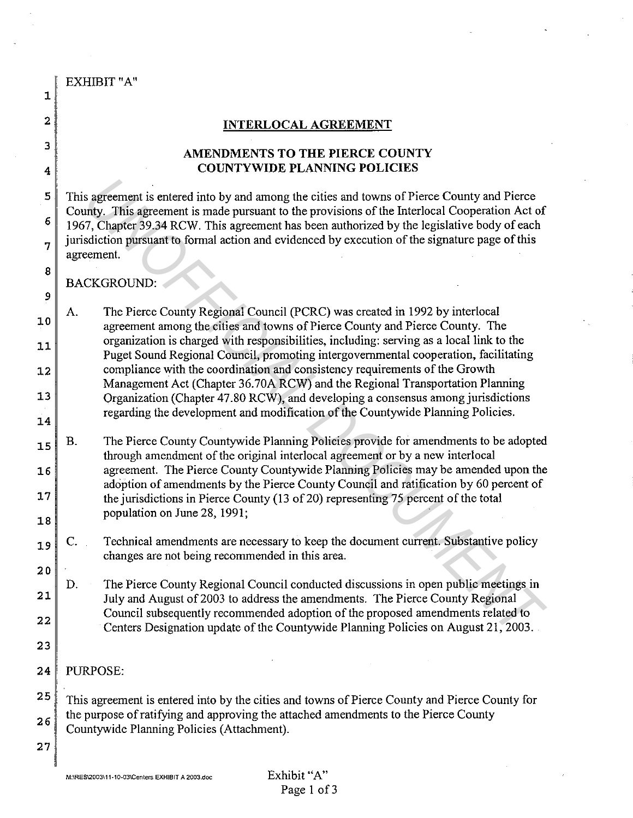|              | EXHIBIT "A"                                                                                                                                                                                                                                                      |
|--------------|------------------------------------------------------------------------------------------------------------------------------------------------------------------------------------------------------------------------------------------------------------------|
| 1            |                                                                                                                                                                                                                                                                  |
| $\mathbf{2}$ | <b>INTERLOCAL AGREEMENT</b>                                                                                                                                                                                                                                      |
| 3            | AMENDMENTS TO THE PIERCE COUNTY                                                                                                                                                                                                                                  |
| 4            | <b>COUNTYWIDE PLANNING POLICIES</b>                                                                                                                                                                                                                              |
| 5            | This agreement is entered into by and among the cities and towns of Pierce County and Pierce                                                                                                                                                                     |
| $\epsilon$   | County. This agreement is made pursuant to the provisions of the Interlocal Cooperation Act of<br>1967, Chapter 39.34 RCW. This agreement has been authorized by the legislative body of each                                                                    |
| 7            | jurisdiction pursuant to formal action and evidenced by execution of the signature page of this<br>agreement.                                                                                                                                                    |
| 8<br>9       | <b>BACKGROUND:</b>                                                                                                                                                                                                                                               |
| 10           | The Pierce County Regional Council (PCRC) was created in 1992 by interlocal<br>A.<br>agreement among the cities and towns of Pierce County and Pierce County. The                                                                                                |
| 11           | organization is charged with responsibilities, including: serving as a local link to the<br>Puget Sound Regional Council, promoting intergovernmental cooperation, facilitating                                                                                  |
| 12           | compliance with the coordination and consistency requirements of the Growth<br>Management Act (Chapter 36.70A RCW) and the Regional Transportation Planning                                                                                                      |
| 13           | Organization (Chapter 47.80 RCW), and developing a consensus among jurisdictions<br>regarding the development and modification of the Countywide Planning Policies.                                                                                              |
| 14           |                                                                                                                                                                                                                                                                  |
| 15           | The Pierce County Countywide Planning Policies provide for amendments to be adopted<br>Β.<br>through amendment of the original interlocal agreement or by a new interlocal                                                                                       |
| 16<br>17     | agreement. The Pierce County Countywide Planning Policies may be amended upon the<br>adoption of amendments by the Pierce County Council and ratification by 60 percent of<br>the jurisdictions in Pierce County (13 of 20) representing 75 percent of the total |
| 18           | population on June 28, 1991;                                                                                                                                                                                                                                     |
| 19           | Technical amendments are necessary to keep the document current. Substantive policy<br>changes are not being recommended in this area.                                                                                                                           |
| 20           |                                                                                                                                                                                                                                                                  |
| 21           | The Pierce County Regional Council conducted discussions in open public meetings in<br>D.<br>July and August of 2003 to address the amendments. The Pierce County Regional                                                                                       |
| 22           | Council subsequently recommended adoption of the proposed amendments related to<br>Centers Designation update of the Countywide Planning Policies on August 21, 2003.                                                                                            |
| 23           |                                                                                                                                                                                                                                                                  |
| 24           | PURPOSE:                                                                                                                                                                                                                                                         |
| 25           | This agreement is entered into by the cities and towns of Pierce County and Pierce County for                                                                                                                                                                    |
| 26           | the purpose of ratifying and approving the attached amendments to the Pierce County<br>Countywide Planning Policies (Attachment).                                                                                                                                |
| 27           |                                                                                                                                                                                                                                                                  |
|              |                                                                                                                                                                                                                                                                  |

l.

 $\ddot{\phantom{a}}$ 

 $\bar{z}$ 

l,

 $\ddot{\phantom{a}}$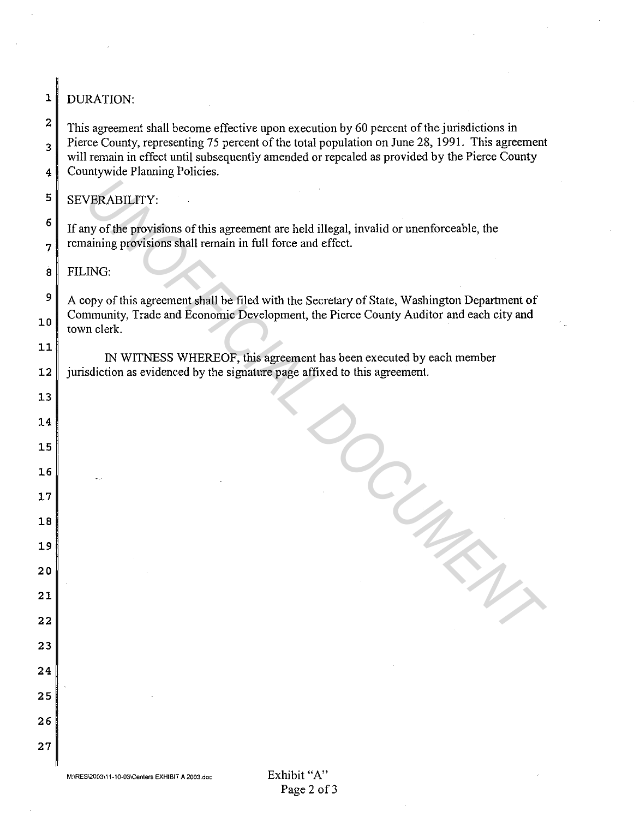| 1                                       | <b>DURATION:</b>                                                                                                                                                                                 |
|-----------------------------------------|--------------------------------------------------------------------------------------------------------------------------------------------------------------------------------------------------|
| 2                                       | This agreement shall become effective upon execution by 60 percent of the jurisdictions in                                                                                                       |
| 3<br>Countywide Planning Policies.<br>4 | Pierce County, representing 75 percent of the total population on June 28, 1991. This agreement<br>will remain in effect until subsequently amended or repealed as provided by the Pierce County |
|                                         |                                                                                                                                                                                                  |
| 5                                       | SEVERABILITY:                                                                                                                                                                                    |
| 6                                       | If any of the provisions of this agreement are held illegal, invalid or unenforceable, the                                                                                                       |
| 7                                       | remaining provisions shall remain in full force and effect.                                                                                                                                      |
| $\overline{\mathbf{8}}$                 | FILING:                                                                                                                                                                                          |
| 9                                       | A copy of this agreement shall be filed with the Secretary of State, Washington Department of<br>Community, Trade and Economic Development, the Pierce County Auditor and each city and          |
| 10                                      | town clerk.                                                                                                                                                                                      |
| 11                                      | IN WITNESS WHEREOF, this agreement has been executed by each member                                                                                                                              |
| 12                                      | jurisdiction as evidenced by the signature page affixed to this agreement.                                                                                                                       |
| 13                                      |                                                                                                                                                                                                  |
| 14                                      |                                                                                                                                                                                                  |
| 15                                      |                                                                                                                                                                                                  |
| 16<br>17                                |                                                                                                                                                                                                  |
| 18                                      |                                                                                                                                                                                                  |
| 19                                      |                                                                                                                                                                                                  |
| 20                                      |                                                                                                                                                                                                  |
| 21                                      |                                                                                                                                                                                                  |
| 22                                      |                                                                                                                                                                                                  |
| 23                                      |                                                                                                                                                                                                  |
| 24                                      |                                                                                                                                                                                                  |
| 25                                      |                                                                                                                                                                                                  |
| 26                                      |                                                                                                                                                                                                  |
| 27                                      |                                                                                                                                                                                                  |
|                                         |                                                                                                                                                                                                  |

 $\bar{\mathcal{A}}$ 

 $\boldsymbol{\tau}$ 

 $\overline{a}$ 

 $\overline{\phantom{a}}$